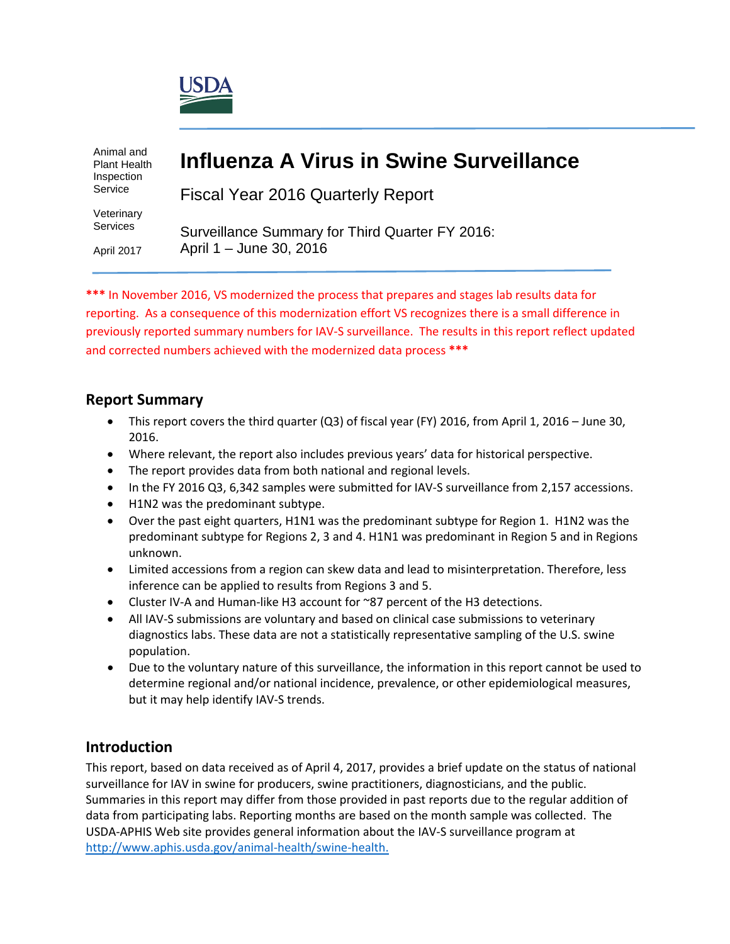

Animal and Plant Health Inspection Service

Veterinary Services

April 2017

# **Influenza A Virus in Swine Surveillance**

Fiscal Year 2016 Quarterly Report

Surveillance Summary for Third Quarter FY 2016: April 1 – June 30, 2016

**\*\*\*** In November 2016, VS modernized the process that prepares and stages lab results data for reporting. As a consequence of this modernization effort VS recognizes there is a small difference in previously reported summary numbers for IAV-S surveillance. The results in this report reflect updated and corrected numbers achieved with the modernized data process **\*\*\***

## **Report Summary**

- This report covers the third quarter (Q3) of fiscal year (FY) 2016, from April 1, 2016 June 30, 2016.
- Where relevant, the report also includes previous years' data for historical perspective.
- The report provides data from both national and regional levels.
- In the FY 2016 Q3, 6,342 samples were submitted for IAV-S surveillance from 2,157 accessions.
- H1N2 was the predominant subtype.
- Over the past eight quarters, H1N1 was the predominant subtype for Region 1. H1N2 was the predominant subtype for Regions 2, 3 and 4. H1N1 was predominant in Region 5 and in Regions unknown.
- Limited accessions from a region can skew data and lead to misinterpretation. Therefore, less inference can be applied to results from Regions 3 and 5.
- Cluster IV-A and Human-like H3 account for ~87 percent of the H3 detections.
- All IAV-S submissions are voluntary and based on clinical case submissions to veterinary diagnostics labs. These data are not a statistically representative sampling of the U.S. swine population.
- Due to the voluntary nature of this surveillance, the information in this report cannot be used to determine regional and/or national incidence, prevalence, or other epidemiological measures, but it may help identify IAV-S trends.

## **Introduction**

This report, based on data received as of April 4, 2017, provides a brief update on the status of national surveillance for IAV in swine for producers, swine practitioners, diagnosticians, and the public. Summaries in this report may differ from those provided in past reports due to the regular addition of data from participating labs. Reporting months are based on the month sample was collected. The USDA-APHIS Web site provides general information about the IAV-S surveillance program at [http://www.aphis.usda.gov/animal-health/swine-health.](http://www.aphis.usda.gov/wps/portal/aphis/ourfocus/animalhealth?1dmy&urile=wcm%3apath%3a%2Faphis_content_library%2Fsa_our_focus%2Fsa_animal_health%2Fsa_animal_disease_information%2Fsa_swine_health)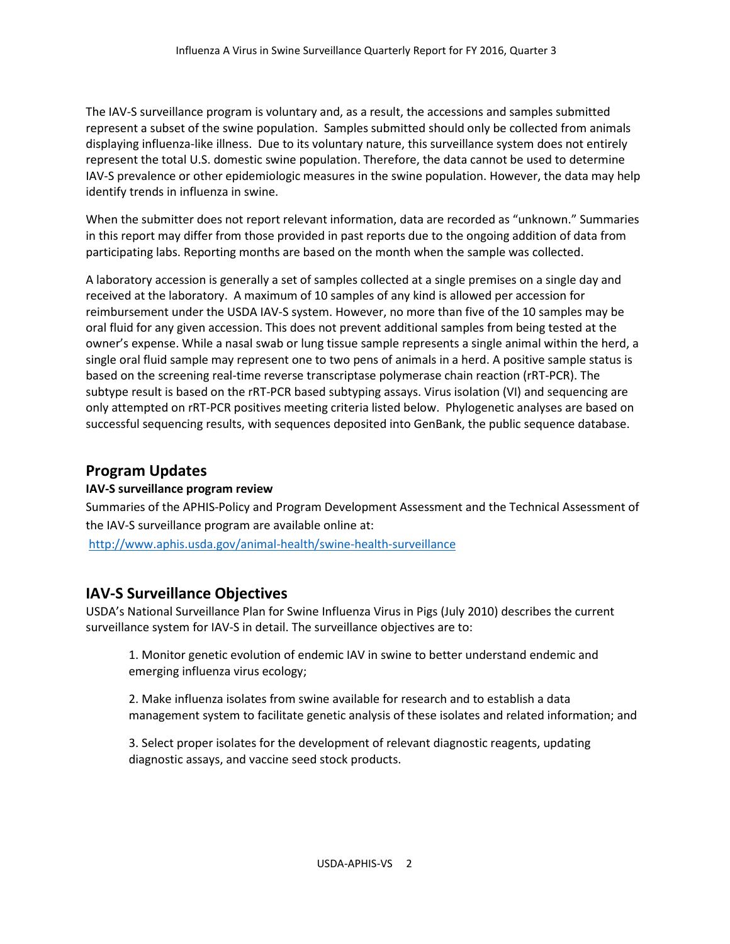The IAV-S surveillance program is voluntary and, as a result, the accessions and samples submitted represent a subset of the swine population. Samples submitted should only be collected from animals displaying influenza-like illness. Due to its voluntary nature, this surveillance system does not entirely represent the total U.S. domestic swine population. Therefore, the data cannot be used to determine IAV-S prevalence or other epidemiologic measures in the swine population. However, the data may help identify trends in influenza in swine.

When the submitter does not report relevant information, data are recorded as "unknown." Summaries in this report may differ from those provided in past reports due to the ongoing addition of data from participating labs. Reporting months are based on the month when the sample was collected.

A laboratory accession is generally a set of samples collected at a single premises on a single day and received at the laboratory. A maximum of 10 samples of any kind is allowed per accession for reimbursement under the USDA IAV-S system. However, no more than five of the 10 samples may be oral fluid for any given accession. This does not prevent additional samples from being tested at the owner's expense. While a nasal swab or lung tissue sample represents a single animal within the herd, a single oral fluid sample may represent one to two pens of animals in a herd. A positive sample status is based on the screening real-time reverse transcriptase polymerase chain reaction (rRT-PCR). The subtype result is based on the rRT-PCR based subtyping assays. Virus isolation (VI) and sequencing are only attempted on rRT-PCR positives meeting criteria listed below. Phylogenetic analyses are based on successful sequencing results, with sequences deposited into GenBank, the public sequence database.

## **Program Updates**

#### **IAV-S surveillance program review**

Summaries of the APHIS-Policy and Program Development Assessment and the Technical Assessment of the IAV-S surveillance program are available online at: <http://www.aphis.usda.gov/animal-health/swine-health-surveillance>

## **IAV-S Surveillance Objectives**

USDA's National Surveillance Plan for Swine Influenza Virus in Pigs (July 2010) describes the current surveillance system for IAV-S in detail. The surveillance objectives are to:

1. Monitor genetic evolution of endemic IAV in swine to better understand endemic and emerging influenza virus ecology;

2. Make influenza isolates from swine available for research and to establish a data management system to facilitate genetic analysis of these isolates and related information; and

3. Select proper isolates for the development of relevant diagnostic reagents, updating diagnostic assays, and vaccine seed stock products.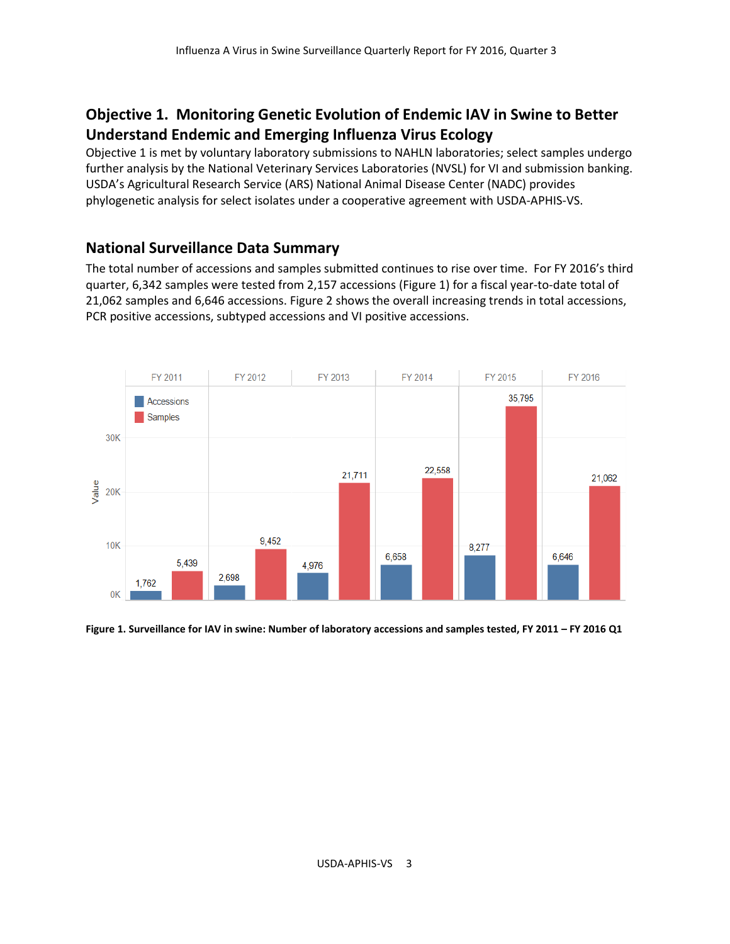## **Objective 1. Monitoring Genetic Evolution of Endemic IAV in Swine to Better Understand Endemic and Emerging Influenza Virus Ecology**

Objective 1 is met by voluntary laboratory submissions to NAHLN laboratories; select samples undergo further analysis by the National Veterinary Services Laboratories (NVSL) for VI and submission banking. USDA's Agricultural Research Service (ARS) National Animal Disease Center (NADC) provides phylogenetic analysis for select isolates under a cooperative agreement with USDA-APHIS-VS.

## **National Surveillance Data Summary**

The total number of accessions and samples submitted continues to rise over time. For FY 2016's third quarter, 6,342 samples were tested from 2,157 accessions (Figure 1) for a fiscal year-to-date total of 21,062 samples and 6,646 accessions. Figure 2 shows the overall increasing trends in total accessions, PCR positive accessions, subtyped accessions and VI positive accessions.



**Figure 1. Surveillance for IAV in swine: Number of laboratory accessions and samples tested, FY 2011 – FY 2016 Q1**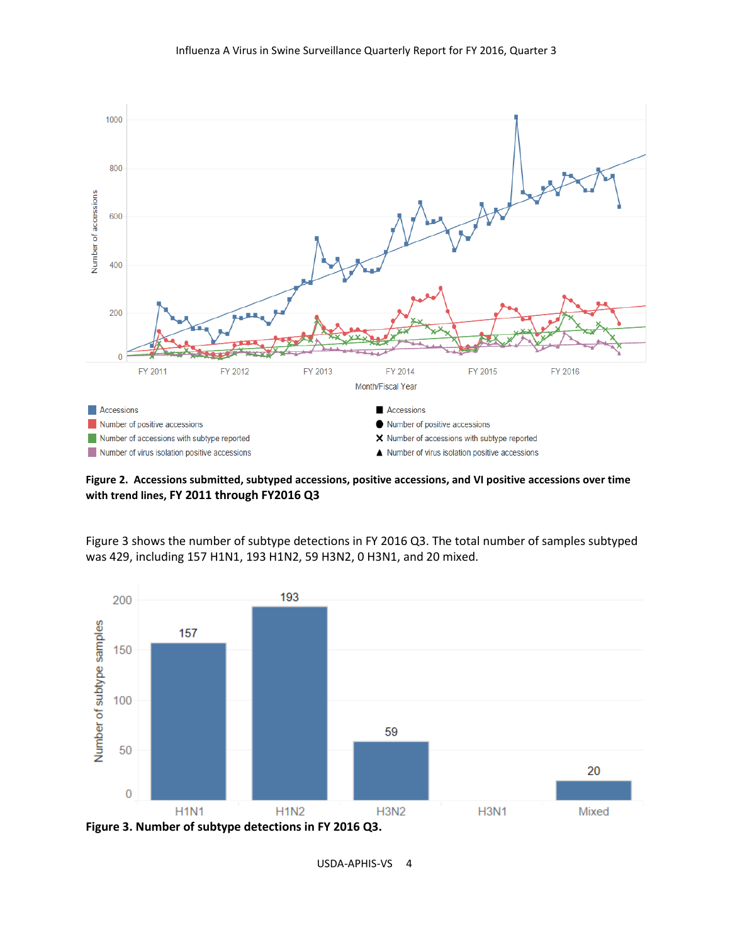

**Figure 2. Accessions submitted, subtyped accessions, positive accessions, and VI positive accessions over time with trend lines, FY 2011 through FY2016 Q3**

Figure 3 shows the number of subtype detections in FY 2016 Q3. The total number of samples subtyped was 429, including 157 H1N1, 193 H1N2, 59 H3N2, 0 H3N1, and 20 mixed.

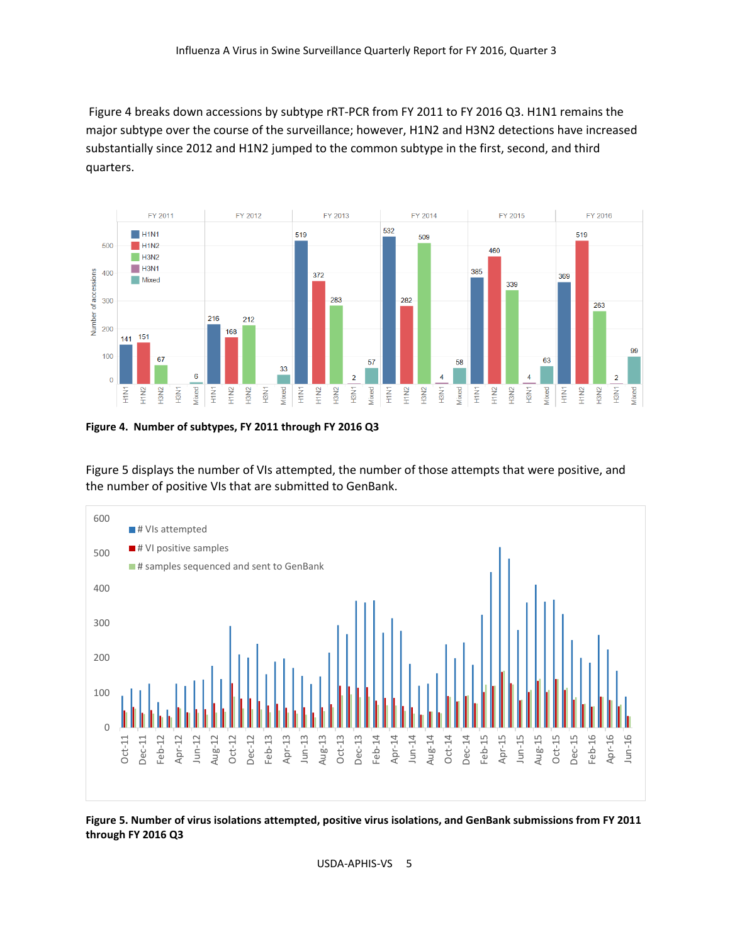Figure 4 breaks down accessions by subtype rRT-PCR from FY 2011 to FY 2016 Q3. H1N1 remains the major subtype over the course of the surveillance; however, H1N2 and H3N2 detections have increased substantially since 2012 and H1N2 jumped to the common subtype in the first, second, and third quarters.



**Figure 4. Number of subtypes, FY 2011 through FY 2016 Q3**

Figure 5 displays the number of VIs attempted, the number of those attempts that were positive, and the number of positive VIs that are submitted to GenBank.



**Figure 5. Number of virus isolations attempted, positive virus isolations, and GenBank submissions from FY 2011 through FY 2016 Q3**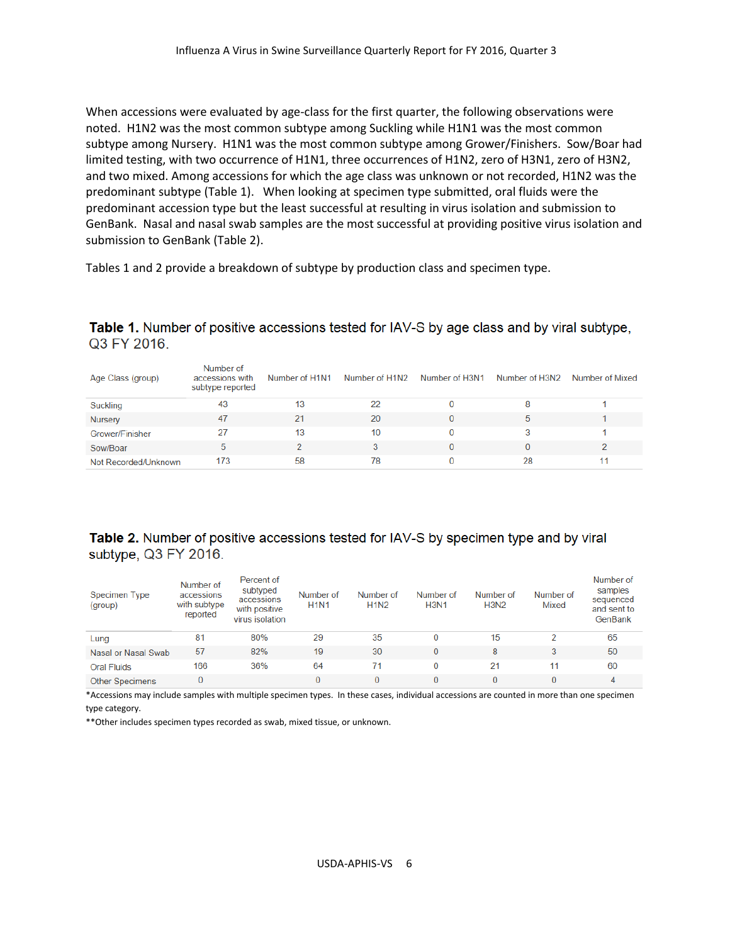When accessions were evaluated by age-class for the first quarter, the following observations were noted. H1N2 was the most common subtype among Suckling while H1N1 was the most common subtype among Nursery. H1N1 was the most common subtype among Grower/Finishers. Sow/Boar had limited testing, with two occurrence of H1N1, three occurrences of H1N2, zero of H3N1, zero of H3N2, and two mixed. Among accessions for which the age class was unknown or not recorded, H1N2 was the predominant subtype (Table 1). When looking at specimen type submitted, oral fluids were the predominant accession type but the least successful at resulting in virus isolation and submission to GenBank. Nasal and nasal swab samples are the most successful at providing positive virus isolation and submission to GenBank (Table 2).

Tables 1 and 2 provide a breakdown of subtype by production class and specimen type.

#### Table 1. Number of positive accessions tested for IAV-S by age class and by viral subtype, Q3 FY 2016

| Age Class (group)    | Number of<br>accessions with<br>subtype reported | Number of H1N1 | Number of H1N2 | Number of H3N1 | Number of H3N2 | Number of Mixed |
|----------------------|--------------------------------------------------|----------------|----------------|----------------|----------------|-----------------|
| <b>Suckling</b>      | 43                                               | 13             | 22             |                |                |                 |
| <b>Nursery</b>       | 47                                               | 21             | 20             |                |                |                 |
| Grower/Finisher      | 27                                               | 13             | 10             |                |                |                 |
| Sow/Boar             | ь                                                |                |                |                |                |                 |
| Not Recorded/Unknown | 173                                              | 58             | 78             |                | 28             | 11              |

#### Table 2. Number of positive accessions tested for IAV-S by specimen type and by viral subtype, Q3 FY 2016.

| Specimen Type<br>(group) | Number of<br>accessions<br>with subtype<br>reported | Percent of<br>subtyped<br>accessions<br>with positive<br>virus isolation | Number of<br><b>H1N1</b> | Number of<br><b>H1N2</b> | Number of<br><b>H3N1</b> | Number of<br><b>H3N2</b> | Number of<br>Mixed | Number of<br>samples<br>sequenced<br>and sent to<br>GenBank |
|--------------------------|-----------------------------------------------------|--------------------------------------------------------------------------|--------------------------|--------------------------|--------------------------|--------------------------|--------------------|-------------------------------------------------------------|
| Lung                     | 81                                                  | 80%                                                                      | 29                       | 35                       |                          | 15                       |                    | 65                                                          |
| Nasal or Nasal Swab      | 57                                                  | 82%                                                                      | 19                       | 30                       | 0                        | 8                        |                    | 50                                                          |
| <b>Oral Fluids</b>       | 166                                                 | 36%                                                                      | 64                       | 71                       | 0                        | 21                       | 11                 | 60                                                          |
| <b>Other Specimens</b>   | 0                                                   |                                                                          | 0                        | 0                        | 0                        |                          |                    | 4                                                           |

\*Accessions may include samples with multiple specimen types. In these cases, individual accessions are counted in more than one specimen

type category.

\*\*Other includes specimen types recorded as swab, mixed tissue, or unknown.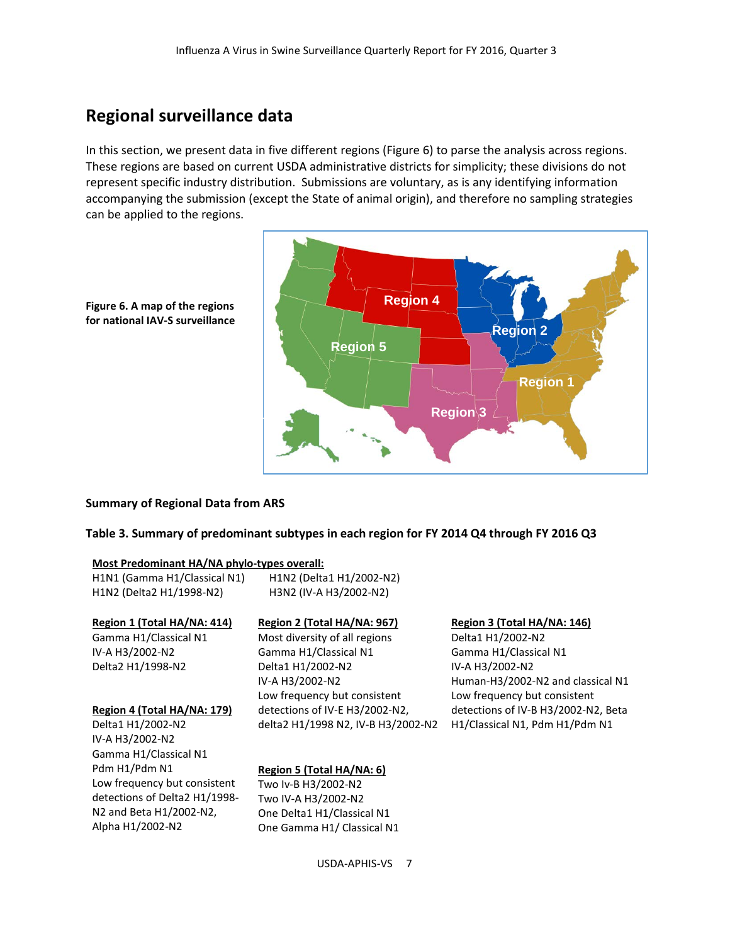## **Regional surveillance data**

In this section, we present data in five different regions (Figure 6) to parse the analysis across regions. These regions are based on current USDA administrative districts for simplicity; these divisions do not represent specific industry distribution. Submissions are voluntary, as is any identifying information accompanying the submission (except the State of animal origin), and therefore no sampling strategies can be applied to the regions.





#### **Summary of Regional Data from ARS**

#### **Table 3. Summary of predominant subtypes in each region for FY 2014 Q4 through FY 2016 Q3**

| Most Predominant HA/NA phylo-types overall: |                                    |                                     |
|---------------------------------------------|------------------------------------|-------------------------------------|
| H1N1 (Gamma H1/Classical N1)                | H1N2 (Delta1 H1/2002-N2)           |                                     |
| H1N2 (Delta2 H1/1998-N2)                    | H3N2 (IV-A H3/2002-N2)             |                                     |
|                                             |                                    |                                     |
| Region 1 (Total HA/NA: 414)                 | Region 2 (Total HA/NA: 967)        | Region 3 (Total HA/NA: 146)         |
| Gamma H1/Classical N1                       | Most diversity of all regions      | Delta1 H1/2002-N2                   |
| IV-A H3/2002-N2                             | Gamma H1/Classical N1              | Gamma H1/Classical N1               |
| Delta2 H1/1998-N2                           | Delta1 H1/2002-N2                  | IV-A H3/2002-N2                     |
|                                             | IV-A H3/2002-N2                    | Human-H3/2002-N2 and classical N1   |
|                                             | Low frequency but consistent       | Low frequency but consistent        |
| Region 4 (Total HA/NA: 179)                 | detections of IV-E H3/2002-N2,     | detections of IV-B H3/2002-N2, Beta |
| Delta1 H1/2002-N2                           | delta2 H1/1998 N2, IV-B H3/2002-N2 | H1/Classical N1, Pdm H1/Pdm N1      |
| IV-A H3/2002-N2                             |                                    |                                     |
| Gamma H1/Classical N1                       |                                    |                                     |
| Pdm H1/Pdm N1                               | Region 5 (Total HA/NA: 6)          |                                     |
| Low frequency but consistent                | Two Iv-B H3/2002-N2                |                                     |
| detections of Delta2 H1/1998-               | Two IV-A H3/2002-N2                |                                     |
| N2 and Beta H1/2002-N2,                     | One Delta1 H1/Classical N1         |                                     |
| Alpha H1/2002-N2                            | One Gamma H1/ Classical N1         |                                     |
|                                             |                                    |                                     |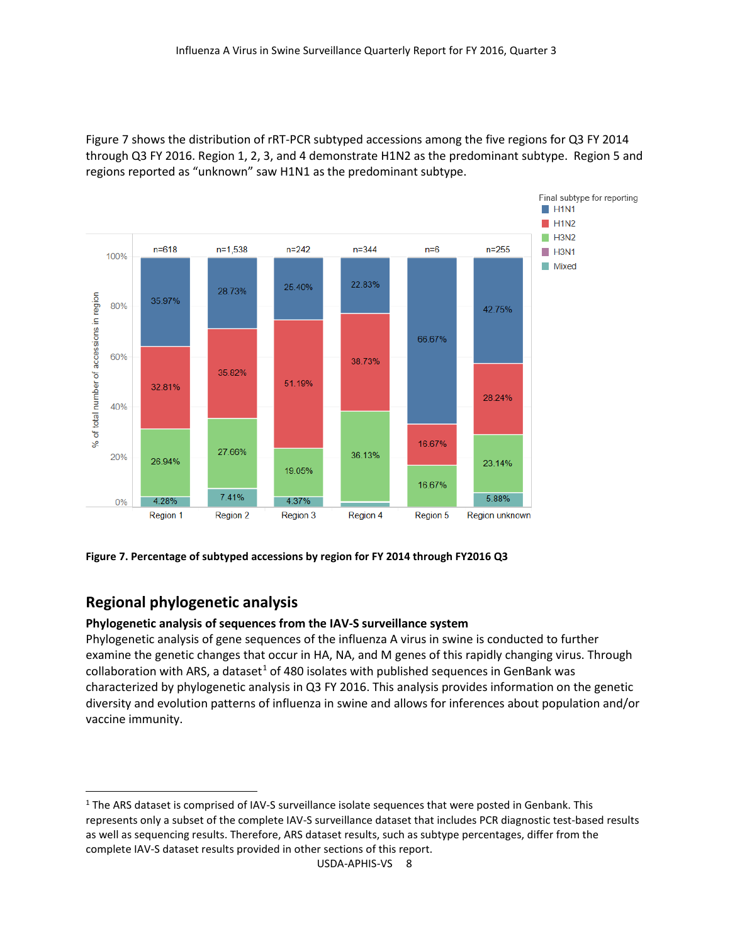Figure 7 shows the distribution of rRT-PCR subtyped accessions among the five regions for Q3 FY 2014 through Q3 FY 2016. Region 1, 2, 3, and 4 demonstrate H1N2 as the predominant subtype. Region 5 and regions reported as "unknown" saw H1N1 as the predominant subtype.



**Figure 7. Percentage of subtyped accessions by region for FY 2014 through FY2016 Q3**

## **Regional phylogenetic analysis**

#### **Phylogenetic analysis of sequences from the IAV-S surveillance system**

Phylogenetic analysis of gene sequences of the influenza A virus in swine is conducted to further examine the genetic changes that occur in HA, NA, and M genes of this rapidly changing virus. Through collaboration with ARS, a dataset<sup>1</sup> of 480 isolates with published sequences in GenBank was characterized by phylogenetic analysis in Q3 FY 2016. This analysis provides information on the genetic diversity and evolution patterns of influenza in swine and allows for inferences about population and/or vaccine immunity.

<span id="page-7-0"></span> $1$  The ARS dataset is comprised of IAV-S surveillance isolate sequences that were posted in Genbank. This represents only a subset of the complete IAV-S surveillance dataset that includes PCR diagnostic test-based results as well as sequencing results. Therefore, ARS dataset results, such as subtype percentages, differ from the complete IAV-S dataset results provided in other sections of this report.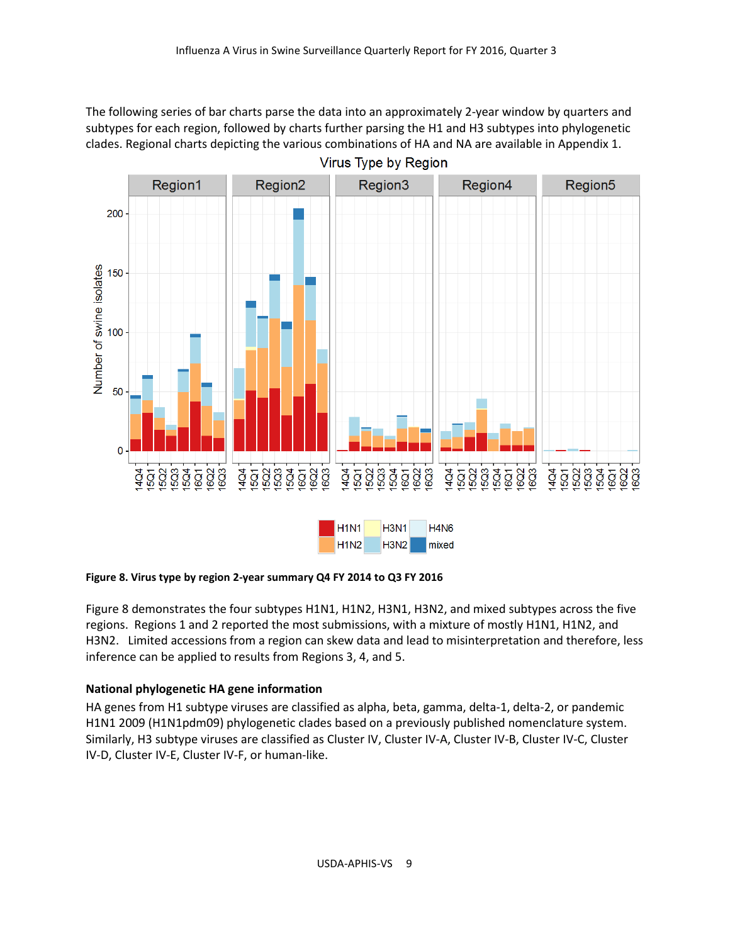The following series of bar charts parse the data into an approximately 2-year window by quarters and subtypes for each region, followed by charts further parsing the H1 and H3 subtypes into phylogenetic clades. Regional charts depicting the various combinations of HA and NA are available in Appendix 1.



#### **Figure 8. Virus type by region 2-year summary Q4 FY 2014 to Q3 FY 2016**

Figure 8 demonstrates the four subtypes H1N1, H1N2, H3N1, H3N2, and mixed subtypes across the five regions. Regions 1 and 2 reported the most submissions, with a mixture of mostly H1N1, H1N2, and H3N2. Limited accessions from a region can skew data and lead to misinterpretation and therefore, less inference can be applied to results from Regions 3, 4, and 5.

#### **National phylogenetic HA gene information**

HA genes from H1 subtype viruses are classified as alpha, beta, gamma, delta-1, delta-2, or pandemic H1N1 2009 (H1N1pdm09) phylogenetic clades based on a previously published nomenclature system. Similarly, H3 subtype viruses are classified as Cluster IV, Cluster IV-A, Cluster IV-B, Cluster IV-C, Cluster IV-D, Cluster IV-E, Cluster IV-F, or human-like.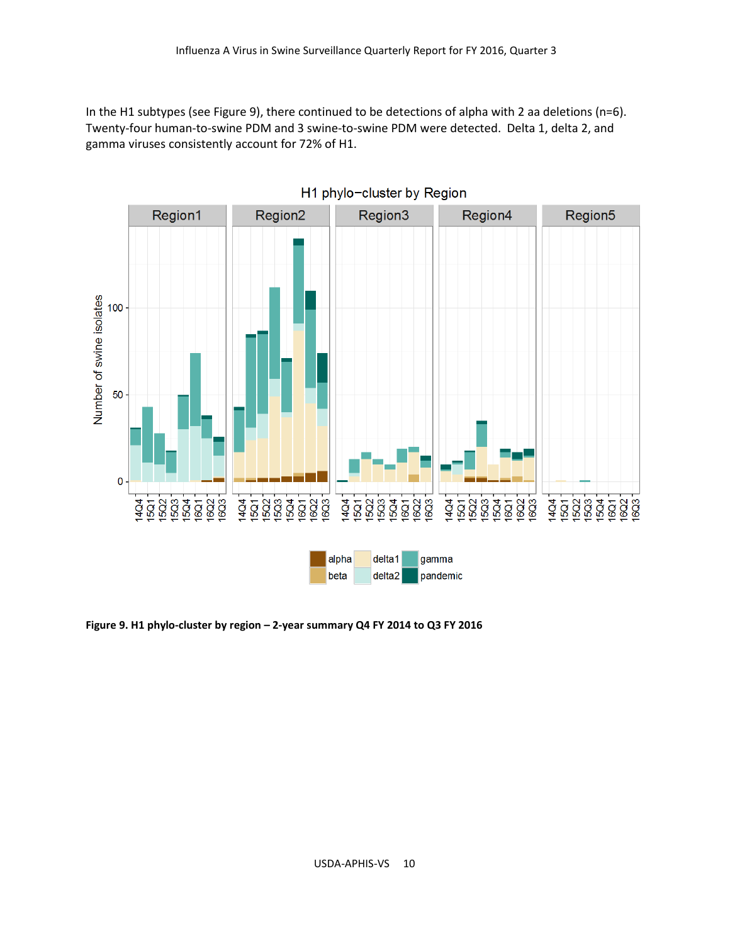In the H1 subtypes (see Figure 9), there continued to be detections of alpha with 2 aa deletions (n=6). Twenty-four human-to-swine PDM and 3 swine-to-swine PDM were detected. Delta 1, delta 2, and gamma viruses consistently account for 72% of H1.



**Figure 9. H1 phylo-cluster by region – 2-year summary Q4 FY 2014 to Q3 FY 2016**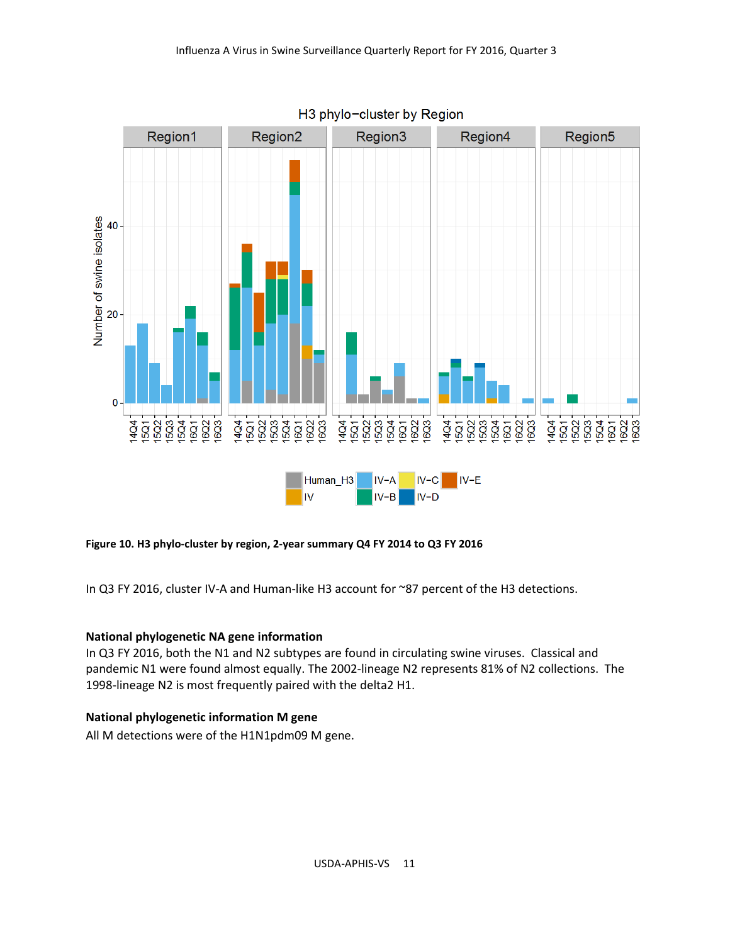

H3 phylo-cluster by Region

**Figure 10. H3 phylo-cluster by region, 2-year summary Q4 FY 2014 to Q3 FY 2016**

In Q3 FY 2016, cluster IV-A and Human-like H3 account for ~87 percent of the H3 detections.

#### **National phylogenetic NA gene information**

In Q3 FY 2016, both the N1 and N2 subtypes are found in circulating swine viruses. Classical and pandemic N1 were found almost equally. The 2002-lineage N2 represents 81% of N2 collections. The 1998-lineage N2 is most frequently paired with the delta2 H1.

#### **National phylogenetic information M gene**

All M detections were of the H1N1pdm09 M gene.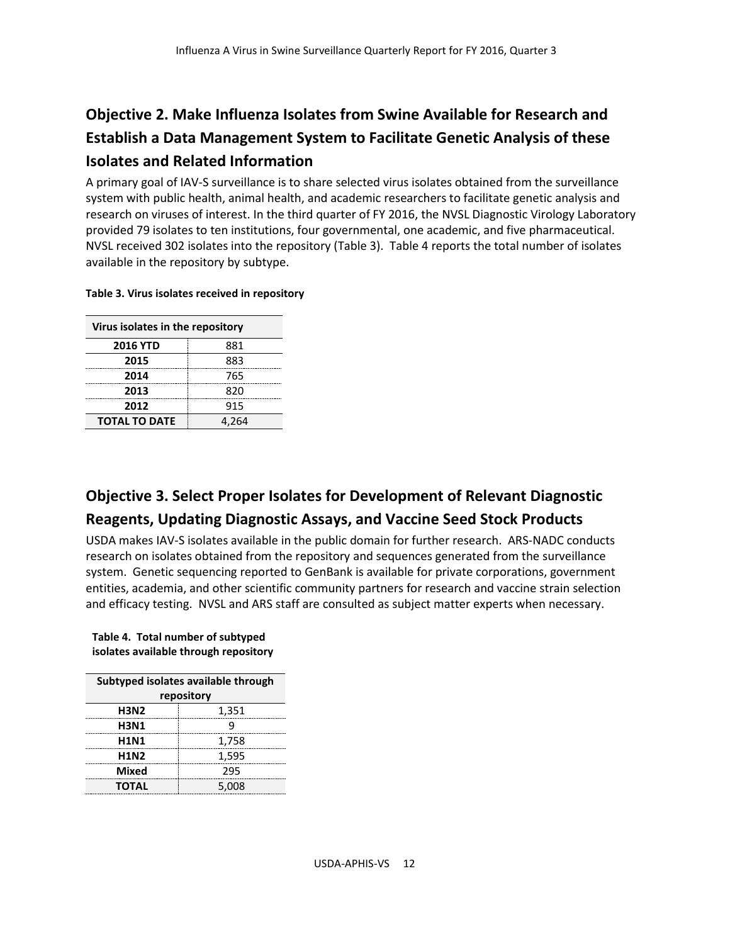## **Objective 2. Make Influenza Isolates from Swine Available for Research and Establish a Data Management System to Facilitate Genetic Analysis of these Isolates and Related Information**

A primary goal of IAV-S surveillance is to share selected virus isolates obtained from the surveillance system with public health, animal health, and academic researchers to facilitate genetic analysis and research on viruses of interest. In the third quarter of FY 2016, the NVSL Diagnostic Virology Laboratory provided 79 isolates to ten institutions, four governmental, one academic, and five pharmaceutical. NVSL received 302 isolates into the repository (Table 3). Table 4 reports the total number of isolates available in the repository by subtype.

#### **Table 3. Virus isolates received in repository**

| Virus isolates in the repository |       |  |
|----------------------------------|-------|--|
| <b>2016 YTD</b>                  | 881   |  |
| 2015                             | 883   |  |
| 2014                             | 765   |  |
| 2013                             | 820   |  |
| 2012                             | 915   |  |
| <b>TOTAL TO DATE</b>             | 4.264 |  |

## **Objective 3. Select Proper Isolates for Development of Relevant Diagnostic Reagents, Updating Diagnostic Assays, and Vaccine Seed Stock Products**

USDA makes IAV-S isolates available in the public domain for further research. ARS-NADC conducts research on isolates obtained from the repository and sequences generated from the surveillance system. Genetic sequencing reported to GenBank is available for private corporations, government entities, academia, and other scientific community partners for research and vaccine strain selection and efficacy testing. NVSL and ARS staff are consulted as subject matter experts when necessary.

**Table 4. Total number of subtyped isolates available through repository**

| Subtyped isolates available through |       |  |  |  |
|-------------------------------------|-------|--|--|--|
| repository                          |       |  |  |  |
| <b>H3N2</b>                         | 1,351 |  |  |  |
| <b>H3N1</b>                         | q     |  |  |  |
| <b>H1N1</b>                         | 1,758 |  |  |  |
| <b>H1N2</b>                         | 1,595 |  |  |  |
| Mixed                               | 295   |  |  |  |
| <b>TOTAL</b>                        | 5,008 |  |  |  |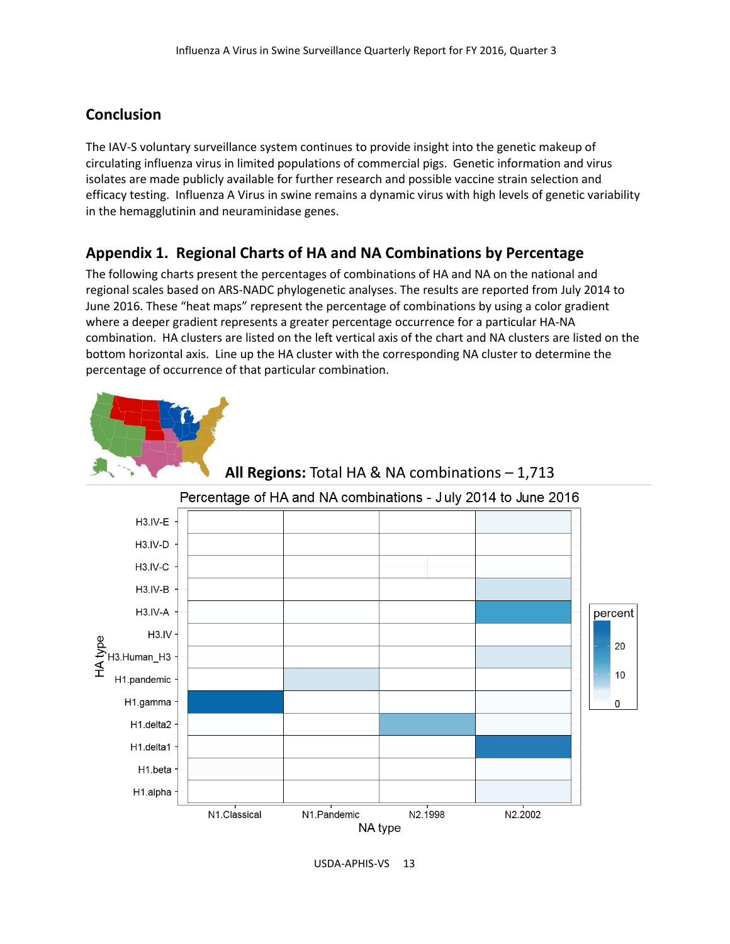## **Conclusion**

The IAV-S voluntary surveillance system continues to provide insight into the genetic makeup of circulating influenza virus in limited populations of commercial pigs. Genetic information and virus isolates are made publicly available for further research and possible vaccine strain selection and efficacy testing. Influenza A Virus in swine remains a dynamic virus with high levels of genetic variability in the hemagglutinin and neuraminidase genes.

## **Appendix 1. Regional Charts of HA and NA Combinations by Percentage**

The following charts present the percentages of combinations of HA and NA on the national and regional scales based on ARS-NADC phylogenetic analyses. The results are reported from July 2014 to June 2016. These "heat maps" represent the percentage of combinations by using a color gradient where a deeper gradient represents a greater percentage occurrence for a particular HA-NA combination. HA clusters are listed on the left vertical axis of the chart and NA clusters are listed on the bottom horizontal axis. Line up the HA cluster with the corresponding NA cluster to determine the percentage of occurrence of that particular combination.



## **All Regions:** Total HA & NA combinations – 1,713

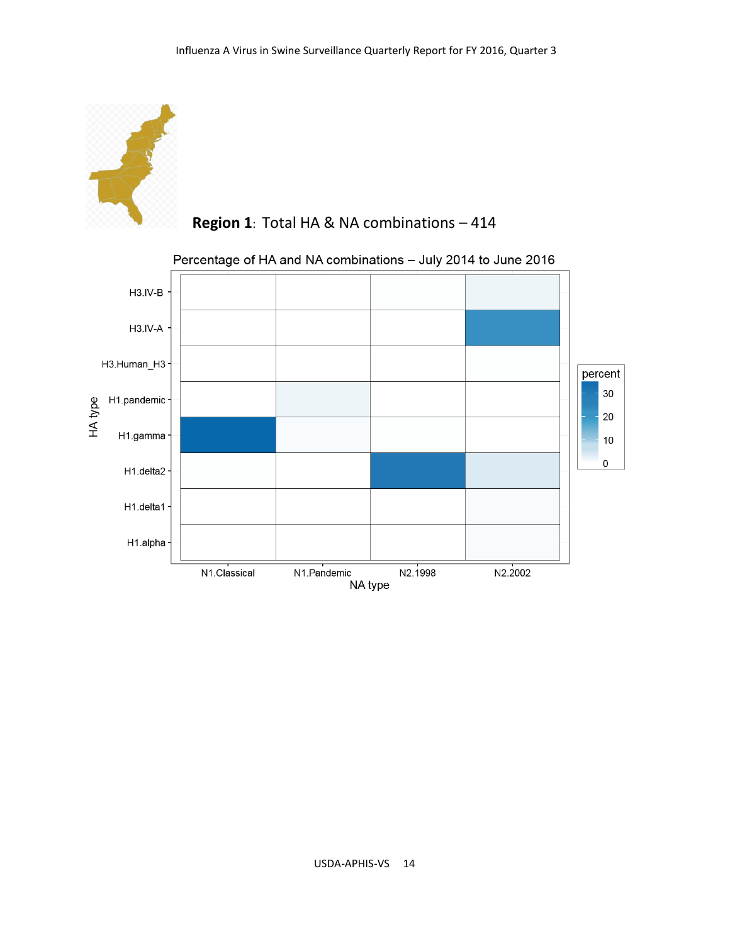![](_page_13_Picture_1.jpeg)

![](_page_13_Figure_2.jpeg)

![](_page_13_Figure_3.jpeg)

Percentage of HA and NA combinations - July 2014 to June 2016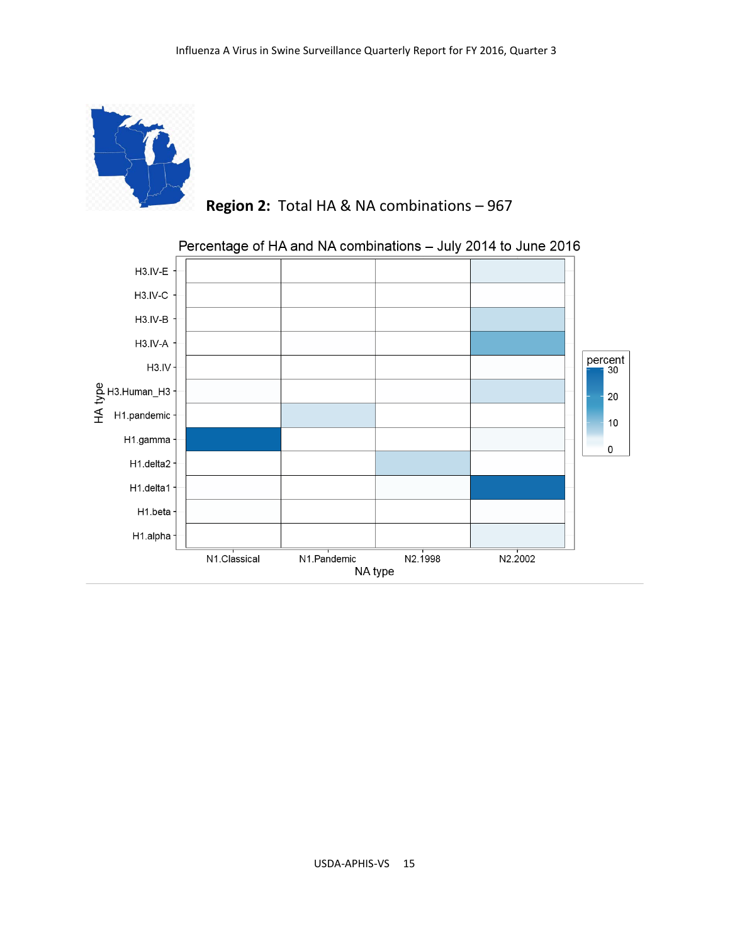![](_page_14_Picture_1.jpeg)

 **Region 2:** Total HA & NA combinations – 967

![](_page_14_Figure_3.jpeg)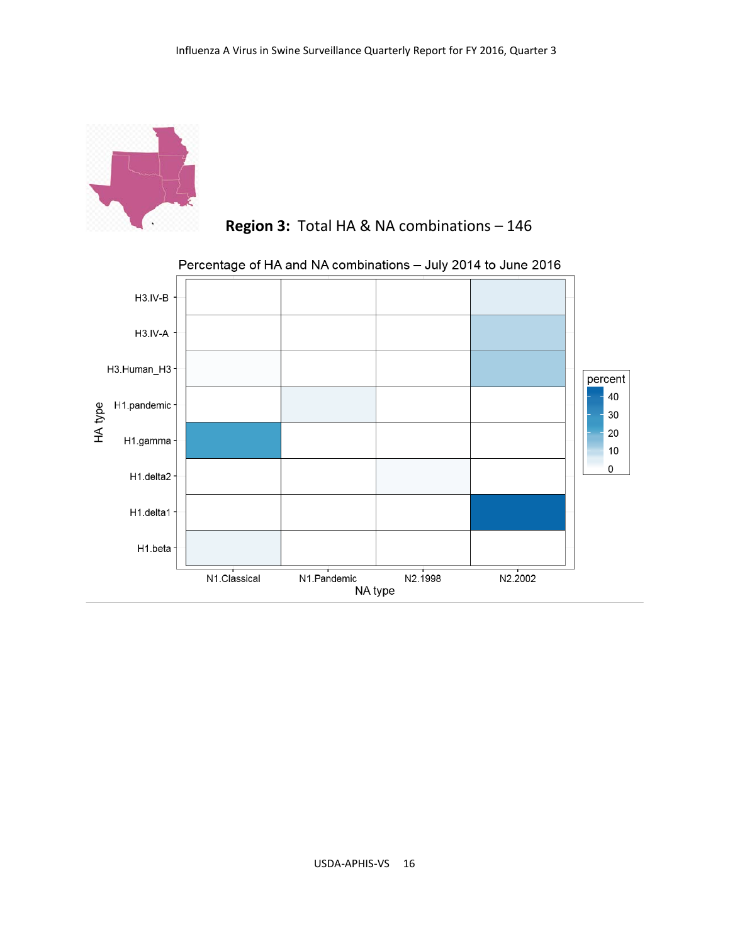![](_page_15_Picture_1.jpeg)

![](_page_15_Figure_2.jpeg)

![](_page_15_Figure_3.jpeg)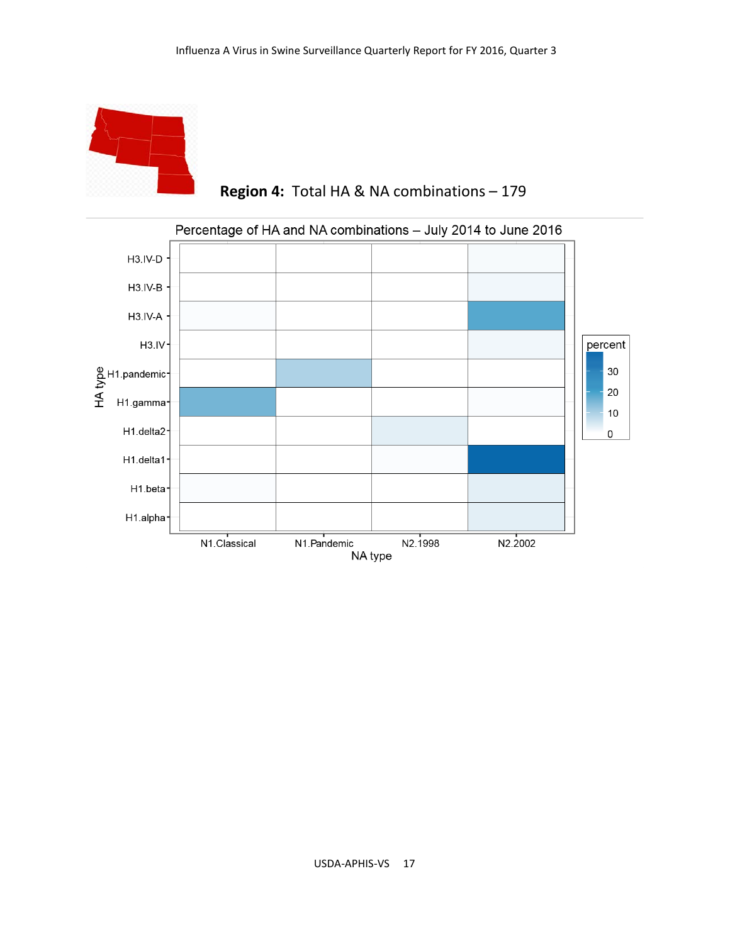![](_page_16_Picture_1.jpeg)

 **Region 4:** Total HA & NA combinations – 179

![](_page_16_Figure_3.jpeg)

## Percentage of HA and NA combinations - July 2014 to June 2016